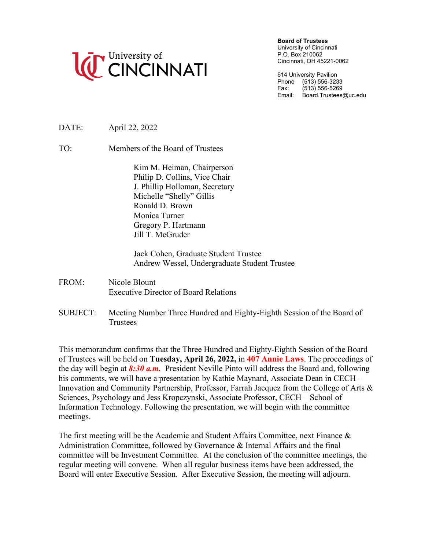

**Board of Trustees**

University of Cincinnati P.O. Box 210062 Cincinnati, OH 45221-0062

614 University Pavilion Phone (513) 556-3233<br>Fax: (513) 556-5269  $(513) 556 - 5269$ Email: Board.Trustees@uc.edu

DATE: April 22, 2022

TO: Members of the Board of Trustees

Kim M. Heiman, Chairperson Philip D. Collins, Vice Chair J. Phillip Holloman, Secretary Michelle "Shelly" Gillis Ronald D. Brown Monica Turner Gregory P. Hartmann Jill T. McGruder

Jack Cohen, Graduate Student Trustee Andrew Wessel, Undergraduate Student Trustee

- FROM: Nicole Blount Executive Director of Board Relations
- SUBJECT: Meeting Number Three Hundred and Eighty-Eighth Session of the Board of **Trustees**

This memorandum confirms that the Three Hundred and Eighty-Eighth Session of the Board of Trustees will be held on **Tuesday, April 26, 2022,** in **407 Annie Laws**. The proceedings of the day will begin at *8:30 a.m.* President Neville Pinto will address the Board and, following his comments, we will have a presentation by Kathie Maynard, Associate Dean in CECH – Innovation and Community Partnership, Professor, Farrah Jacquez from the College of Arts & Sciences, Psychology and Jess Kropczynski, Associate Professor, CECH – School of Information Technology. Following the presentation, we will begin with the committee meetings.

The first meeting will be the Academic and Student Affairs Committee, next Finance & Administration Committee, followed by Governance & Internal Affairs and the final committee will be Investment Committee. At the conclusion of the committee meetings, the regular meeting will convene. When all regular business items have been addressed, the Board will enter Executive Session. After Executive Session, the meeting will adjourn.